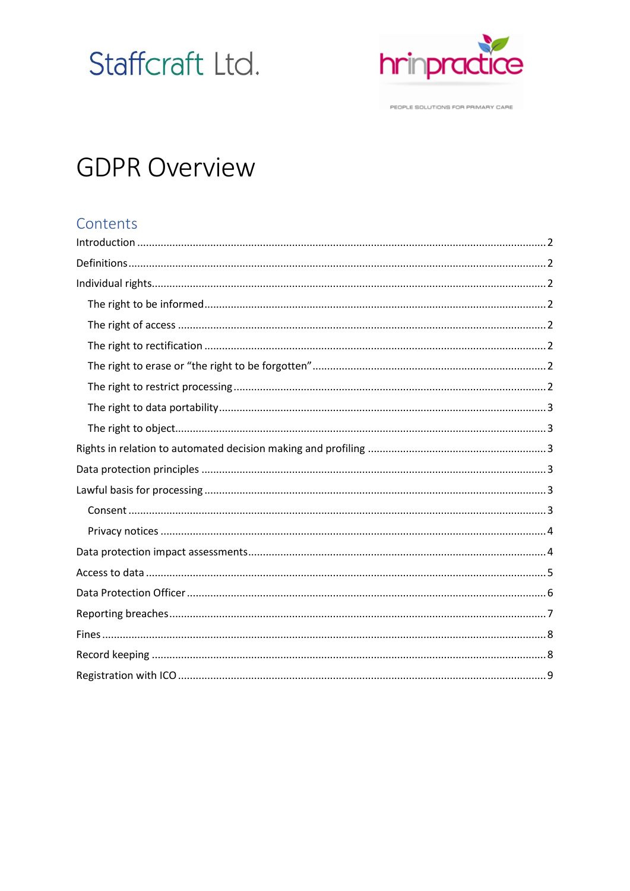# Staffcraft Ltd.



PEOPLE SOLUTIONS FOR PRIMARY CARE

## **GDPR Overview**

## Contents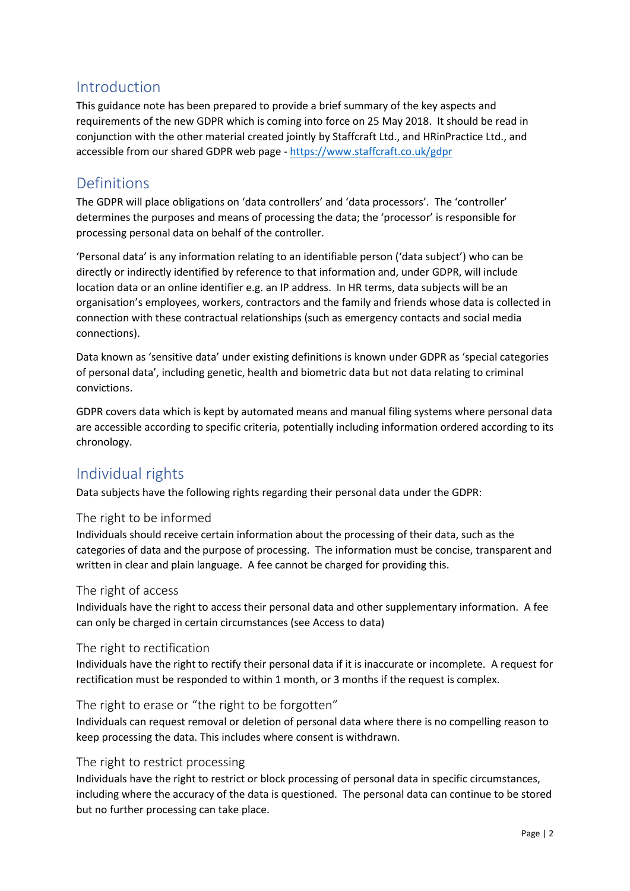## <span id="page-1-0"></span>Introduction

This guidance note has been prepared to provide a brief summary of the key aspects and requirements of the new GDPR which is coming into force on 25 May 2018. It should be read in conjunction with the other material created jointly by Staffcraft Ltd., and HRinPractice Ltd., and accessible from our shared GDPR web page - <https://www.staffcraft.co.uk/gdpr>

## <span id="page-1-1"></span>Definitions

The GDPR will place obligations on 'data controllers' and 'data processors'. The 'controller' determines the purposes and means of processing the data; the 'processor' is responsible for processing personal data on behalf of the controller.

'Personal data' is any information relating to an identifiable person ('data subject') who can be directly or indirectly identified by reference to that information and, under GDPR, will include location data or an online identifier e.g. an IP address. In HR terms, data subjects will be an organisation's employees, workers, contractors and the family and friends whose data is collected in connection with these contractual relationships (such as emergency contacts and social media connections).

Data known as 'sensitive data' under existing definitions is known under GDPR as 'special categories of personal data', including genetic, health and biometric data but not data relating to criminal convictions.

GDPR covers data which is kept by automated means and manual filing systems where personal data are accessible according to specific criteria, potentially including information ordered according to its chronology.

## <span id="page-1-2"></span>Individual rights

Data subjects have the following rights regarding their personal data under the GDPR:

#### <span id="page-1-3"></span>The right to be informed

Individuals should receive certain information about the processing of their data, such as the categories of data and the purpose of processing. The information must be concise, transparent and written in clear and plain language. A fee cannot be charged for providing this.

#### <span id="page-1-4"></span>The right of access

Individuals have the right to access their personal data and other supplementary information. A fee can only be charged in certain circumstances (see Access to data)

#### <span id="page-1-5"></span>The right to rectification

Individuals have the right to rectify their personal data if it is inaccurate or incomplete. A request for rectification must be responded to within 1 month, or 3 months if the request is complex.

#### <span id="page-1-6"></span>The right to erase or "the right to be forgotten"

Individuals can request removal or deletion of personal data where there is no compelling reason to keep processing the data. This includes where consent is withdrawn.

#### <span id="page-1-7"></span>The right to restrict processing

Individuals have the right to restrict or block processing of personal data in specific circumstances, including where the accuracy of the data is questioned. The personal data can continue to be stored but no further processing can take place.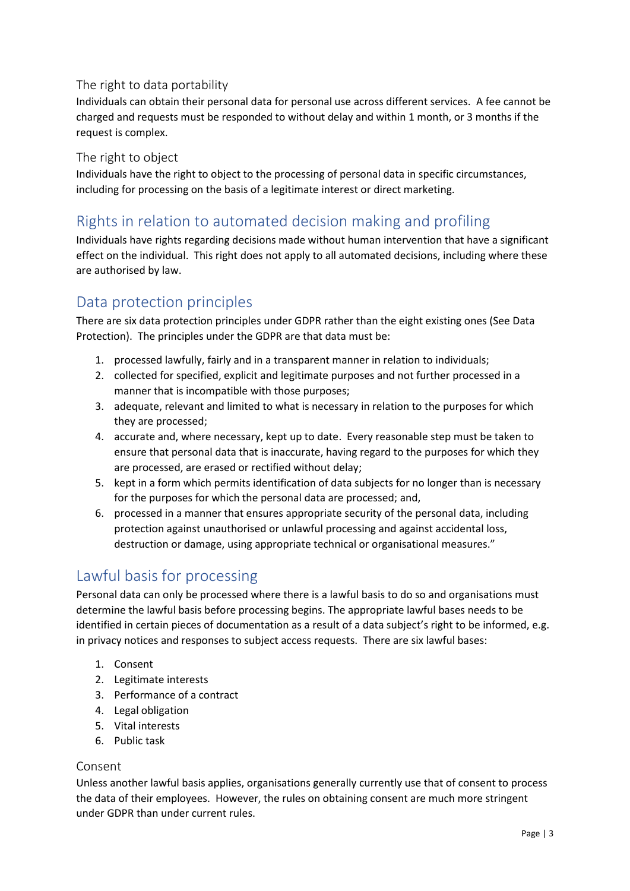#### <span id="page-2-0"></span>The right to data portability

Individuals can obtain their personal data for personal use across different services. A fee cannot be charged and requests must be responded to without delay and within 1 month, or 3 months if the request is complex.

#### <span id="page-2-1"></span>The right to object

Individuals have the right to object to the processing of personal data in specific circumstances, including for processing on the basis of a legitimate interest or direct marketing.

## <span id="page-2-2"></span>Rights in relation to automated decision making and profiling

Individuals have rights regarding decisions made without human intervention that have a significant effect on the individual. This right does not apply to all automated decisions, including where these are authorised by law.

## <span id="page-2-3"></span>Data protection principles

There are six data protection principles under GDPR rather than the eight existing ones (See Data Protection). The principles under the GDPR are that data must be:

- 1. processed lawfully, fairly and in a transparent manner in relation to individuals;
- 2. collected for specified, explicit and legitimate purposes and not further processed in a manner that is incompatible with those purposes;
- 3. adequate, relevant and limited to what is necessary in relation to the purposes for which they are processed;
- 4. accurate and, where necessary, kept up to date. Every reasonable step must be taken to ensure that personal data that is inaccurate, having regard to the purposes for which they are processed, are erased or rectified without delay;
- 5. kept in a form which permits identification of data subjects for no longer than is necessary for the purposes for which the personal data are processed; and,
- 6. processed in a manner that ensures appropriate security of the personal data, including protection against unauthorised or unlawful processing and against accidental loss, destruction or damage, using appropriate technical or organisational measures."

## <span id="page-2-4"></span>Lawful basis for processing

Personal data can only be processed where there is a lawful basis to do so and organisations must determine the lawful basis before processing begins. The appropriate lawful bases needs to be identified in certain pieces of documentation as a result of a data subject's right to be informed, e.g. in privacy notices and responses to subject access requests. There are six lawful bases:

- 1. Consent
- 2. Legitimate interests
- 3. Performance of a contract
- 4. Legal obligation
- 5. Vital interests
- 6. Public task

#### <span id="page-2-5"></span>Consent

Unless another lawful basis applies, organisations generally currently use that of consent to process the data of their employees. However, the rules on obtaining consent are much more stringent under GDPR than under current rules.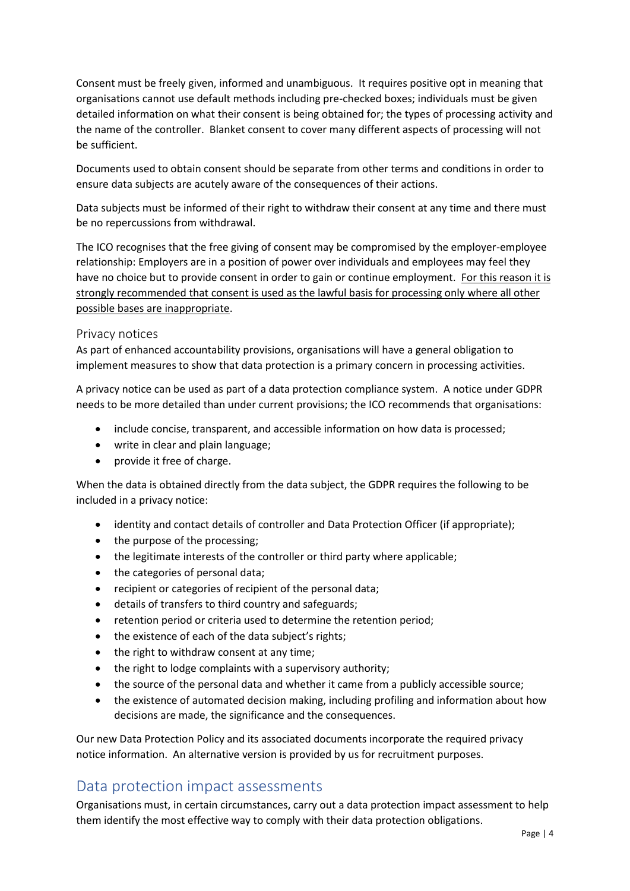Consent must be freely given, informed and unambiguous. It requires positive opt in meaning that organisations cannot use default methods including pre-checked boxes; individuals must be given detailed information on what their consent is being obtained for; the types of processing activity and the name of the controller. Blanket consent to cover many different aspects of processing will not be sufficient.

Documents used to obtain consent should be separate from other terms and conditions in order to ensure data subjects are acutely aware of the consequences of their actions.

Data subjects must be informed of their right to withdraw their consent at any time and there must be no repercussions from withdrawal.

The ICO recognises that the free giving of consent may be compromised by the employer-employee relationship: Employers are in a position of power over individuals and employees may feel they have no choice but to provide consent in order to gain or continue employment. For this reason it is strongly recommended that consent is used as the lawful basis for processing only where all other possible bases are inappropriate.

#### <span id="page-3-0"></span>Privacy notices

As part of enhanced accountability provisions, organisations will have a general obligation to implement measures to show that data protection is a primary concern in processing activities.

A privacy notice can be used as part of a data protection compliance system. A notice under GDPR needs to be more detailed than under current provisions; the ICO recommends that organisations:

- include concise, transparent, and accessible information on how data is processed;
- write in clear and plain language;
- provide it free of charge.

When the data is obtained directly from the data subject, the GDPR requires the following to be included in a privacy notice:

- identity and contact details of controller and Data Protection Officer (if appropriate);
- the purpose of the processing;
- the legitimate interests of the controller or third party where applicable;
- the categories of personal data;
- recipient or categories of recipient of the personal data;
- details of transfers to third country and safeguards;
- retention period or criteria used to determine the retention period;
- the existence of each of the data subject's rights;
- the right to withdraw consent at any time;
- the right to lodge complaints with a supervisory authority;
- the source of the personal data and whether it came from a publicly accessible source;
- the existence of automated decision making, including profiling and information about how decisions are made, the significance and the consequences.

Our new Data Protection Policy and its associated documents incorporate the required privacy notice information. An alternative version is provided by us for recruitment purposes.

#### <span id="page-3-1"></span>Data protection impact assessments

Organisations must, in certain circumstances, carry out a data protection impact assessment to help them identify the most effective way to comply with their data protection obligations.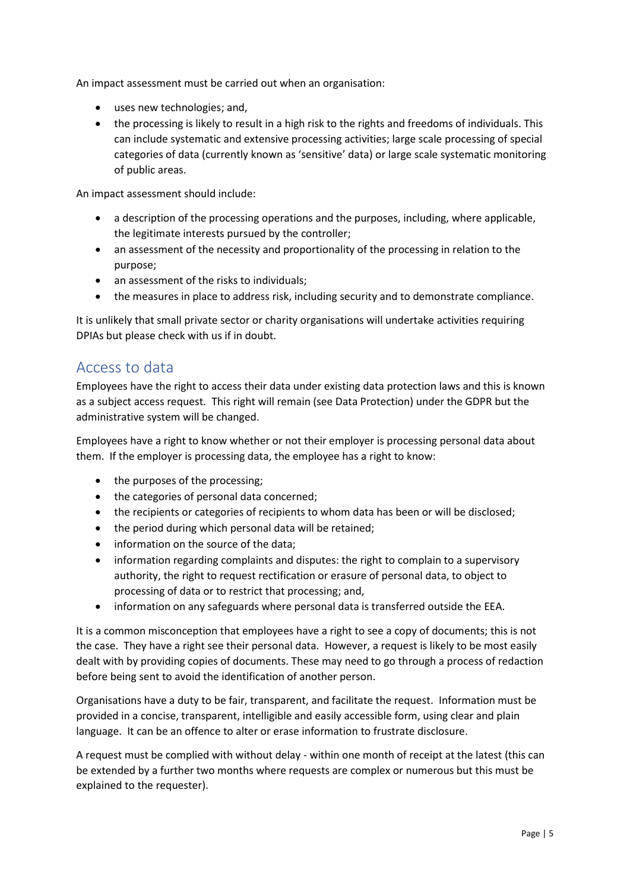An impact assessment must be carried out when an organisation:

- uses new technologies; and,
- the processing is likely to result in a high risk to the rights and freedoms of individuals. This can include systematic and extensive processing activities; large scale processing of special categories of data (currently known as 'sensitive' data) or large scale systematic monitoring of public areas.

An impact assessment should include:

- a description of the processing operations and the purposes, including, where applicable, the legitimate interests pursued by the controller;
- an assessment of the necessity and proportionality of the processing in relation to the purpose;
- an assessment of the risks to individuals;
- the measures in place to address risk, including security and to demonstrate compliance.

It is unlikely that small private sector or charity organisations will undertake activities requiring DPIAs but please check with us if in doubt.

#### <span id="page-4-0"></span>Access to data

Employees have the right to access their data under existing data protection laws and this is known as a subject access request. This right will remain (see Data Protection) under the GDPR but the administrative system will be changed.

Employees have a right to know whether or not their employer is processing personal data about them. If the employer is processing data, the employee has a right to know:

- the purposes of the processing;
- the categories of personal data concerned;
- the recipients or categories of recipients to whom data has been or will be disclosed;
- the period during which personal data will be retained;
- information on the source of the data;
- information regarding complaints and disputes: the right to complain to a supervisory authority, the right to request rectification or erasure of personal data, to object to processing of data or to restrict that processing; and,
- information on any safeguards where personal data is transferred outside the EEA.

It is a common misconception that employees have a right to see a copy of documents; this is not the case. They have a right see their personal data. However, a request is likely to be most easily dealt with by providing copies of documents. These may need to go through a process of redaction before being sent to avoid the identification of another person.

Organisations have a duty to be fair, transparent, and facilitate the request. Information must be provided in a concise, transparent, intelligible and easily accessible form, using clear and plain language. It can be an offence to alter or erase information to frustrate disclosure.

A request must be complied with without delay - within one month of receipt at the latest (this can be extended by a further two months where requests are complex or numerous but this must be explained to the requester).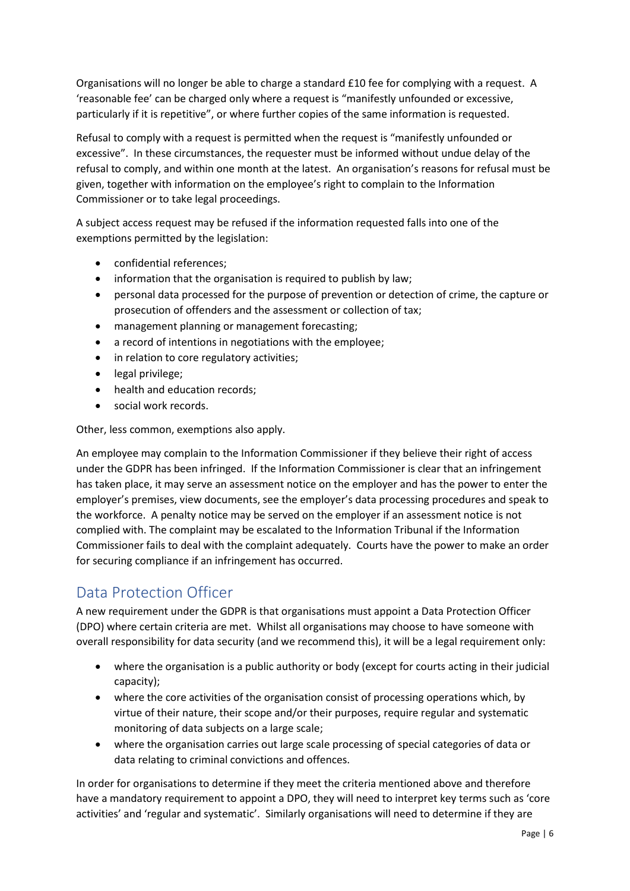Organisations will no longer be able to charge a standard £10 fee for complying with a request. A 'reasonable fee' can be charged only where a request is "manifestly unfounded or excessive, particularly if it is repetitive", or where further copies of the same information is requested.

Refusal to comply with a request is permitted when the request is "manifestly unfounded or excessive". In these circumstances, the requester must be informed without undue delay of the refusal to comply, and within one month at the latest. An organisation's reasons for refusal must be given, together with information on the employee's right to complain to the Information Commissioner or to take legal proceedings.

A subject access request may be refused if the information requested falls into one of the exemptions permitted by the legislation:

- confidential references;
- information that the organisation is required to publish by law;
- personal data processed for the purpose of prevention or detection of crime, the capture or prosecution of offenders and the assessment or collection of tax;
- management planning or management forecasting;
- a record of intentions in negotiations with the employee;
- in relation to core regulatory activities;
- legal privilege;
- health and education records:
- social work records.

Other, less common, exemptions also apply.

An employee may complain to the Information Commissioner if they believe their right of access under the GDPR has been infringed. If the Information Commissioner is clear that an infringement has taken place, it may serve an assessment notice on the employer and has the power to enter the employer's premises, view documents, see the employer's data processing procedures and speak to the workforce. A penalty notice may be served on the employer if an assessment notice is not complied with. The complaint may be escalated to the Information Tribunal if the Information Commissioner fails to deal with the complaint adequately. Courts have the power to make an order for securing compliance if an infringement has occurred.

## <span id="page-5-0"></span>Data Protection Officer

A new requirement under the GDPR is that organisations must appoint a Data Protection Officer (DPO) where certain criteria are met. Whilst all organisations may choose to have someone with overall responsibility for data security (and we recommend this), it will be a legal requirement only:

- where the organisation is a public authority or body (except for courts acting in their judicial capacity);
- where the core activities of the organisation consist of processing operations which, by virtue of their nature, their scope and/or their purposes, require regular and systematic monitoring of data subjects on a large scale;
- where the organisation carries out large scale processing of special categories of data or data relating to criminal convictions and offences.

In order for organisations to determine if they meet the criteria mentioned above and therefore have a mandatory requirement to appoint a DPO, they will need to interpret key terms such as 'core activities' and 'regular and systematic'. Similarly organisations will need to determine if they are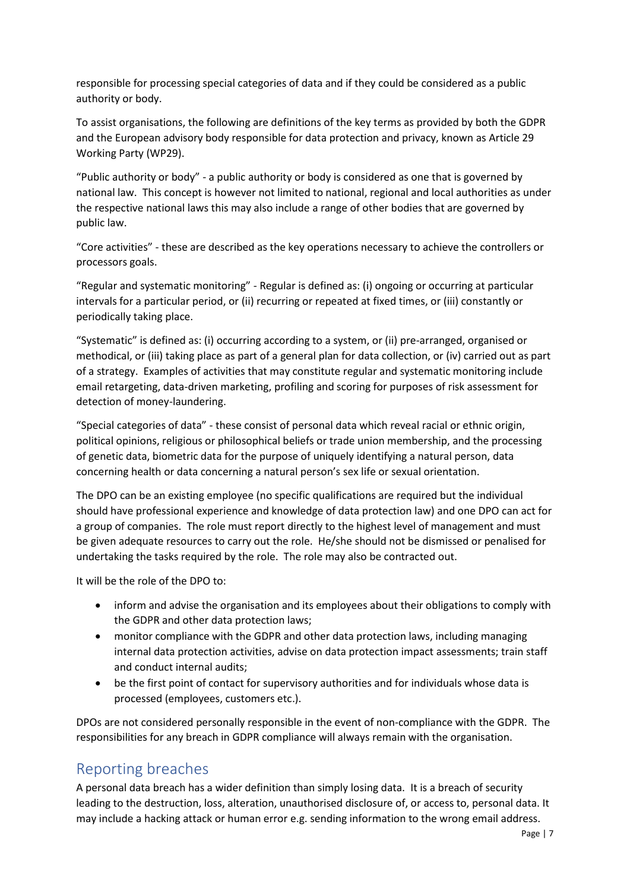responsible for processing special categories of data and if they could be considered as a public authority or body.

To assist organisations, the following are definitions of the key terms as provided by both the GDPR and the European advisory body responsible for data protection and privacy, known as Article 29 Working Party (WP29).

"Public authority or body" - a public authority or body is considered as one that is governed by national law. This concept is however not limited to national, regional and local authorities as under the respective national laws this may also include a range of other bodies that are governed by public law.

"Core activities" - these are described as the key operations necessary to achieve the controllers or processors goals.

"Regular and systematic monitoring" - Regular is defined as: (i) ongoing or occurring at particular intervals for a particular period, or (ii) recurring or repeated at fixed times, or (iii) constantly or periodically taking place.

"Systematic" is defined as: (i) occurring according to a system, or (ii) pre-arranged, organised or methodical, or (iii) taking place as part of a general plan for data collection, or (iv) carried out as part of a strategy. Examples of activities that may constitute regular and systematic monitoring include email retargeting, data-driven marketing, profiling and scoring for purposes of risk assessment for detection of money-laundering.

"Special categories of data" - these consist of personal data which reveal racial or ethnic origin, political opinions, religious or philosophical beliefs or trade union membership, and the processing of genetic data, biometric data for the purpose of uniquely identifying a natural person, data concerning health or data concerning a natural person's sex life or sexual orientation.

The DPO can be an existing employee (no specific qualifications are required but the individual should have professional experience and knowledge of data protection law) and one DPO can act for a group of companies. The role must report directly to the highest level of management and must be given adequate resources to carry out the role. He/she should not be dismissed or penalised for undertaking the tasks required by the role. The role may also be contracted out.

It will be the role of the DPO to:

- inform and advise the organisation and its employees about their obligations to comply with the GDPR and other data protection laws;
- monitor compliance with the GDPR and other data protection laws, including managing internal data protection activities, advise on data protection impact assessments; train staff and conduct internal audits;
- be the first point of contact for supervisory authorities and for individuals whose data is processed (employees, customers etc.).

DPOs are not considered personally responsible in the event of non-compliance with the GDPR. The responsibilities for any breach in GDPR compliance will always remain with the organisation.

## <span id="page-6-0"></span>Reporting breaches

A personal data breach has a wider definition than simply losing data. It is a breach of security leading to the destruction, loss, alteration, unauthorised disclosure of, or access to, personal data. It may include a hacking attack or human error e.g. sending information to the wrong email address.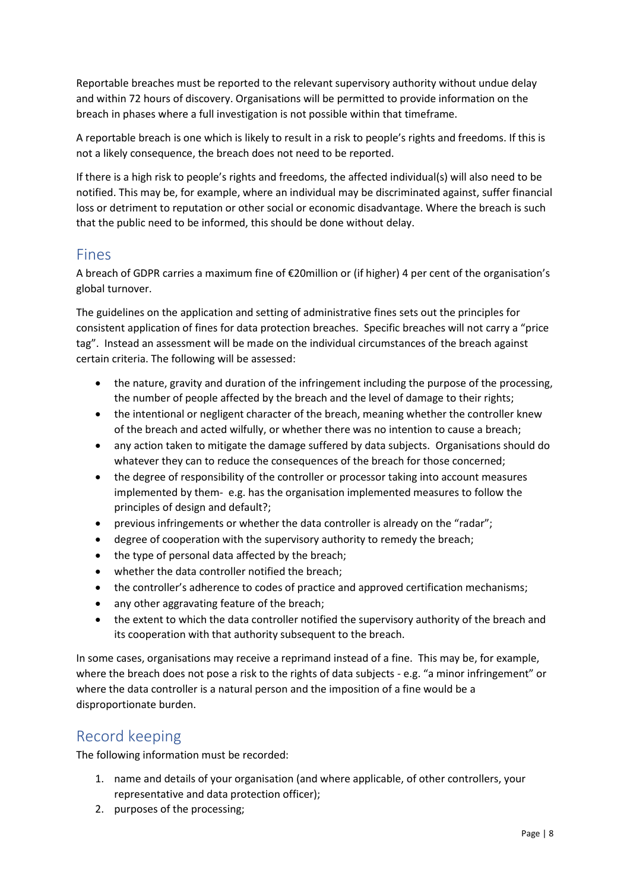Reportable breaches must be reported to the relevant supervisory authority without undue delay and within 72 hours of discovery. Organisations will be permitted to provide information on the breach in phases where a full investigation is not possible within that timeframe.

A reportable breach is one which is likely to result in a risk to people's rights and freedoms. If this is not a likely consequence, the breach does not need to be reported.

If there is a high risk to people's rights and freedoms, the affected individual(s) will also need to be notified. This may be, for example, where an individual may be discriminated against, suffer financial loss or detriment to reputation or other social or economic disadvantage. Where the breach is such that the public need to be informed, this should be done without delay.

#### <span id="page-7-0"></span>Fines

A breach of GDPR carries a maximum fine of €20million or (if higher) 4 per cent of the organisation's global turnover.

The guidelines on the application and setting of administrative fines sets out the principles for consistent application of fines for data protection breaches. Specific breaches will not carry a "price tag". Instead an assessment will be made on the individual circumstances of the breach against certain criteria. The following will be assessed:

- the nature, gravity and duration of the infringement including the purpose of the processing, the number of people affected by the breach and the level of damage to their rights;
- the intentional or negligent character of the breach, meaning whether the controller knew of the breach and acted wilfully, or whether there was no intention to cause a breach;
- any action taken to mitigate the damage suffered by data subjects. Organisations should do whatever they can to reduce the consequences of the breach for those concerned;
- the degree of responsibility of the controller or processor taking into account measures implemented by them- e.g. has the organisation implemented measures to follow the principles of design and default?;
- previous infringements or whether the data controller is already on the "radar";
- degree of cooperation with the supervisory authority to remedy the breach;
- the type of personal data affected by the breach;
- whether the data controller notified the breach;
- the controller's adherence to codes of practice and approved certification mechanisms;
- any other aggravating feature of the breach;
- the extent to which the data controller notified the supervisory authority of the breach and its cooperation with that authority subsequent to the breach.

In some cases, organisations may receive a reprimand instead of a fine. This may be, for example, where the breach does not pose a risk to the rights of data subjects - e.g. "a minor infringement" or where the data controller is a natural person and the imposition of a fine would be a disproportionate burden.

## <span id="page-7-1"></span>Record keeping

The following information must be recorded:

- 1. name and details of your organisation (and where applicable, of other controllers, your representative and data protection officer);
- 2. purposes of the processing;